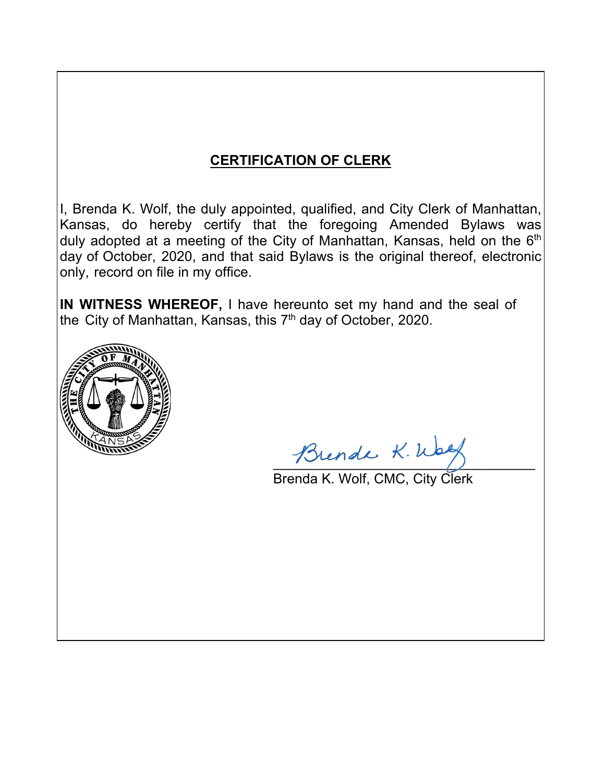# **CERTIFICATION OF CLERK**

I, Brenda K. Wolf, the duly appointed, qualified, and City Clerk of Manhattan, Kansas, do hereby certify that the foregoing Amended Bylaws was duly adopted at a meeting of the City of Manhattan, Kansas, held on the 6<sup>th</sup> day of October, 2020, and that said Bylaws is the original thereof, electronic only, record on file in my office.

**IN WITNESS WHEREOF,** I have hereunto set my hand and the seal of the City of Manhattan, Kansas, this 7<sup>th</sup> day of October, 2020.



Brende K. Wall

Brenda K. Wolf, CMC, City Clerk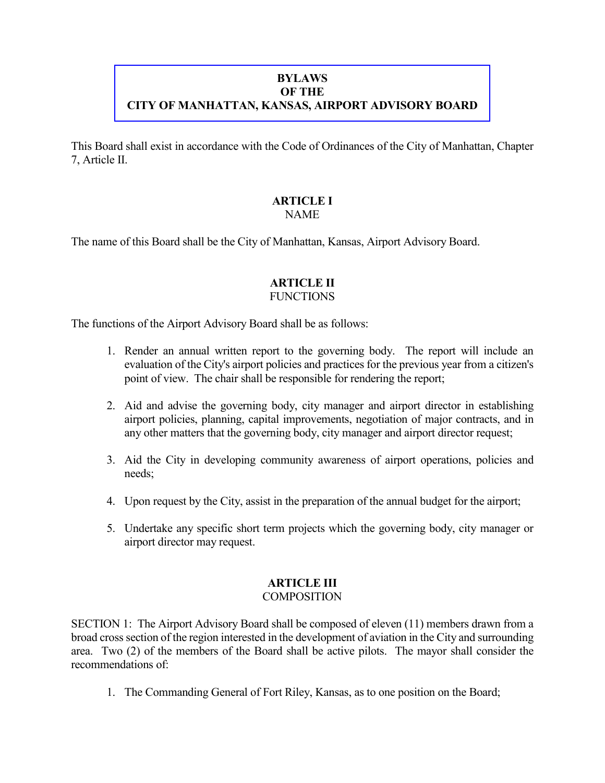## **BYLAWS OF THE CITY OF MANHATTAN, KANSAS, AIRPORT ADVISORY BOARD**

This Board shall exist in accordance with the Code of Ordinances of the City of Manhattan, Chapter 7, Article II.

#### **ARTICLE I** NAME

The name of this Board shall be the City of Manhattan, Kansas, Airport Advisory Board.

#### **ARTICLE II FUNCTIONS**

The functions of the Airport Advisory Board shall be as follows:

- 1. Render an annual written report to the governing body. The report will include an evaluation of the City's airport policies and practices for the previous year from a citizen's point of view. The chair shall be responsible for rendering the report;
- 2. Aid and advise the governing body, city manager and airport director in establishing airport policies, planning, capital improvements, negotiation of major contracts, and in any other matters that the governing body, city manager and airport director request;
- 3. Aid the City in developing community awareness of airport operations, policies and needs;
- 4. Upon request by the City, assist in the preparation of the annual budget for the airport;
- 5. Undertake any specific short term projects which the governing body, city manager or airport director may request.

## **ARTICLE III**

## **COMPOSITION**

SECTION 1: The Airport Advisory Board shall be composed of eleven (11) members drawn from a broad cross section of the region interested in the development of aviation in the City and surrounding area. Two (2) of the members of the Board shall be active pilots. The mayor shall consider the recommendations of:

1. The Commanding General of Fort Riley, Kansas, as to one position on the Board;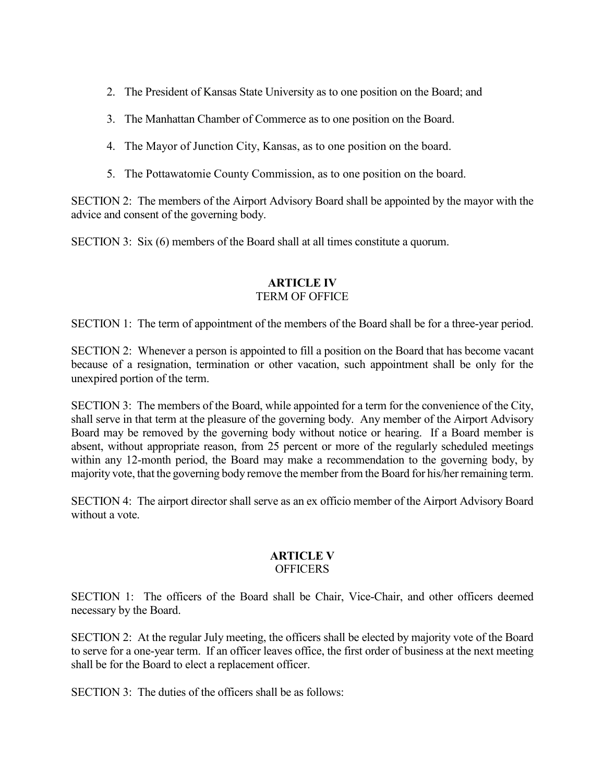- 2. The President of Kansas State University as to one position on the Board; and
- 3. The Manhattan Chamber of Commerce as to one position on the Board.
- 4. The Mayor of Junction City, Kansas, as to one position on the board.
- 5. The Pottawatomie County Commission, as to one position on the board.

SECTION 2: The members of the Airport Advisory Board shall be appointed by the mayor with the advice and consent of the governing body.

SECTION 3: Six (6) members of the Board shall at all times constitute a quorum.

## **ARTICLE IV** TERM OF OFFICE

SECTION 1: The term of appointment of the members of the Board shall be for a three-year period.

SECTION 2: Whenever a person is appointed to fill a position on the Board that has become vacant because of a resignation, termination or other vacation, such appointment shall be only for the unexpired portion of the term.

SECTION 3: The members of the Board, while appointed for a term for the convenience of the City, shall serve in that term at the pleasure of the governing body. Any member of the Airport Advisory Board may be removed by the governing body without notice or hearing. If a Board member is absent, without appropriate reason, from 25 percent or more of the regularly scheduled meetings within any 12-month period, the Board may make a recommendation to the governing body, by majority vote, that the governing body remove the member from the Board for his/her remaining term.

SECTION 4: The airport director shall serve as an ex officio member of the Airport Advisory Board without a vote.

#### **ARTICLE V OFFICERS**

SECTION 1: The officers of the Board shall be Chair, Vice-Chair, and other officers deemed necessary by the Board.

SECTION 2: At the regular July meeting, the officers shall be elected by majority vote of the Board to serve for a one-year term. If an officer leaves office, the first order of business at the next meeting shall be for the Board to elect a replacement officer.

SECTION 3: The duties of the officers shall be as follows: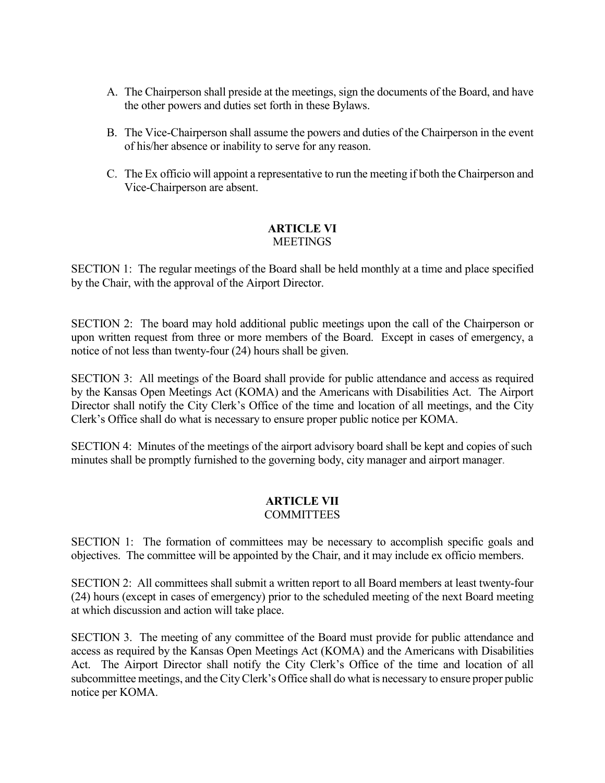- A. The Chairperson shall preside at the meetings, sign the documents of the Board, and have the other powers and duties set forth in these Bylaws.
- B. The Vice-Chairperson shall assume the powers and duties of the Chairperson in the event of his/her absence or inability to serve for any reason.
- C. The Ex officio will appoint a representative to run the meeting if both the Chairperson and Vice-Chairperson are absent.

## **ARTICLE VI MEETINGS**

SECTION 1: The regular meetings of the Board shall be held monthly at a time and place specified by the Chair, with the approval of the Airport Director.

SECTION 2: The board may hold additional public meetings upon the call of the Chairperson or upon written request from three or more members of the Board. Except in cases of emergency, a notice of not less than twenty-four (24) hours shall be given.

SECTION 3: All meetings of the Board shall provide for public attendance and access as required by the Kansas Open Meetings Act (KOMA) and the Americans with Disabilities Act. The Airport Director shall notify the City Clerk's Office of the time and location of all meetings, and the City Clerk's Office shall do what is necessary to ensure proper public notice per KOMA.

SECTION 4: Minutes of the meetings of the airport advisory board shall be kept and copies of such minutes shall be promptly furnished to the governing body, city manager and airport manager.

# **ARTICLE VII**

## **COMMITTEES**

SECTION 1: The formation of committees may be necessary to accomplish specific goals and objectives. The committee will be appointed by the Chair, and it may include ex officio members.

SECTION 2: All committees shall submit a written report to all Board members at least twenty-four (24) hours (except in cases of emergency) prior to the scheduled meeting of the next Board meeting at which discussion and action will take place.

SECTION 3. The meeting of any committee of the Board must provide for public attendance and access as required by the Kansas Open Meetings Act (KOMA) and the Americans with Disabilities Act. The Airport Director shall notify the City Clerk's Office of the time and location of all subcommittee meetings, and the City Clerk's Office shall do what is necessary to ensure proper public notice per KOMA.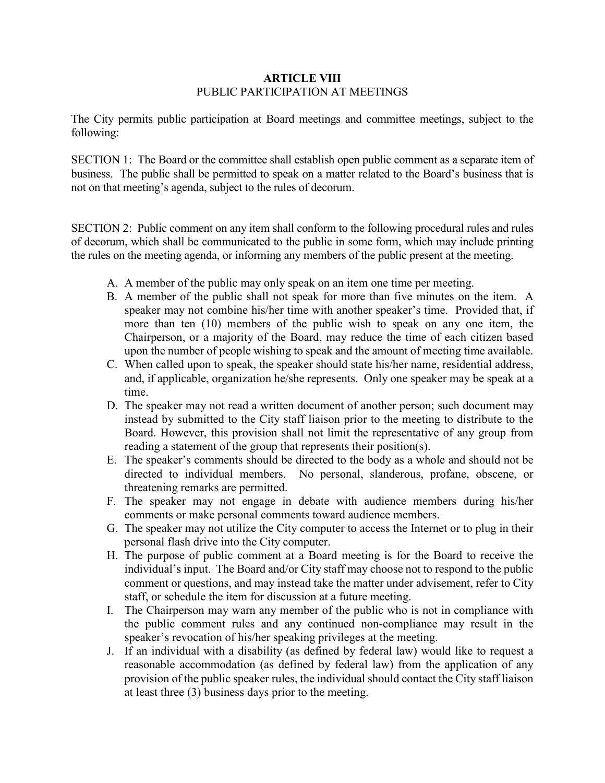## **ARTICLE VIII** PUBLIC PARTICIPATION AT MEETINGS

The City permits public participation at Board meetings and committee meetings, subject to the following:

SECTION 1: The Board or the committee shall establish open public comment as a separate item of business. The public shall be permitted to speak on a matter related to the Board's business that is not on that meeting's agenda, subject to the rules of decorum.

SECTION 2: Public comment on any item shall conform to the following procedural rules and rules of decorum, which shall be communicated to the public in some form, which may include printing the rules on the meeting agenda, or informing any members of the public present at the meeting.

- A. A member of the public may only speak on an item one time per meeting.
- B. A member of the public shall not speak for more than five minutes on the item. A speaker may not combine his/her time with another speaker's time. Provided that, if more than ten (10) members of the public wish to speak on any one item, the Chairperson, or a majority of the Board, may reduce the time of each citizen based upon the number of people wishing to speak and the amount of meeting time available.
- C. When called upon to speak, the speaker should state his/her name, residential address, and, if applicable, organization he/she represents. Only one speaker may be speak at a time.
- D. The speaker may not read a written document of another person; such document may instead by submitted to the City staff liaison prior to the meeting to distribute to the Board. However, this provision shall not limit the representative of any group from reading a statement of the group that represents their position(s).
- E. The speaker's comments should be directed to the body as a whole and should not be directed to individual members. No personal, slanderous, profane, obscene, or threatening remarks are permitted.
- F. The speaker may not engage in debate with audience members during his/her comments or make personal comments toward audience members.
- G. The speaker may not utilize the City computer to access the Internet or to plug in their personal flash drive into the City computer.
- H. The purpose of public comment at a Board meeting is for the Board to receive the individual's input. The Board and/or City staff may choose not to respond to the public comment or questions, and may instead take the matter under advisement, refer to City staff, or schedule the item for discussion at a future meeting.
- I. The Chairperson may warn any member of the public who is not in compliance with the public comment rules and any continued non-compliance may result in the speaker's revocation of his/her speaking privileges at the meeting.
- J. If an individual with a disability (as defined by federal law) would like to request a reasonable accommodation (as defined by federal law) from the application of any provision of the public speaker rules, the individual should contact the City staff liaison at least three (3) business days prior to the meeting.